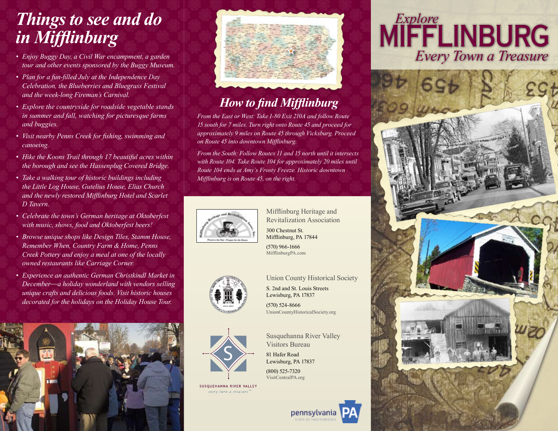# *Things to see and do in Mifflinburg*

- *• Enjoy Buggy Day, a Civil War encampment, a garden tour and other events sponsored by the Buggy Museum.*
- *• Plan for a fun-filled July at the Independence Day Celebration, the Blueberries and Bluegrass Festival and the week-long Fireman's Carnival.*
- *• Explore the countryside for roadside vegetable stands in summer and fall, watching for picturesque farms and buggies.*
- *• Visit nearby Penns Creek for fishing, swimming and canoeing.*
- *• Hike the Koons Trail through 17 beautiful acres within the borough and see the Hassenplug Covered Bridge.*
- *• Take a walking tour of historic buildings including the Little Log House, Gutelius House, Elias Church and the newly restored Mifflinburg Hotel and Scarlet D Tavern.*
- *• Celebrate the town's German heritage at Oktoberfest with music, shows, food and Oktoberfest beers!*
- *• Browse unique shops like Design Tiles, Stamm House, Remember When, Country Farm & Home, Penns Creek Pottery and enjoy a meal at one of the locally owned restaurants like Carriage Corner.*
- *• Experience an authentic German Christkindl Market in December*—*a holiday wonderland with vendors selling unique crafts and delicious foods. Visit historic houses decorated for the holidays on the Holiday House Tour.*





### *How to find Mifflinburg*

*From the East or West: Take I-80 Exit 210A and follow Route 15 south for 7 miles. Turn right onto Route 45 and proceed for approximately 9 miles on Route 45 through Vicksburg. Proceed on Route 45 into downtown Mifflinburg.*

*From the South: Follow Routes 11 and 15 north until it intersects with Route 104. Take Route 104 for approximately 20 miles until Route 104 ends at Amy's Frosty Freeze. Historic downtown Mifflinburg is on Route 45, on the right.* 



Mifflinburg Heritage and Revitalization Association 300 Chestnut St. Mifflinburg, PA 17844

Union County Historical Society

(570) 966-1666 MifflinburgPA.com

S. 2nd and St. Louis Streets Lewisburg, PA 17837 (570) 524-8666

UnionCountyHistoricalSociety.org

Susquehanna River Valley





Visitors Bureau 81 Hafer Road Lewisburg, PA 17837

(800) 525-7320 VisitCentralPA.org

SUSQUEHANNA RIVER VALLEY every turn a treasure



## Mifflinburg *Explore Every Town a Treasure*